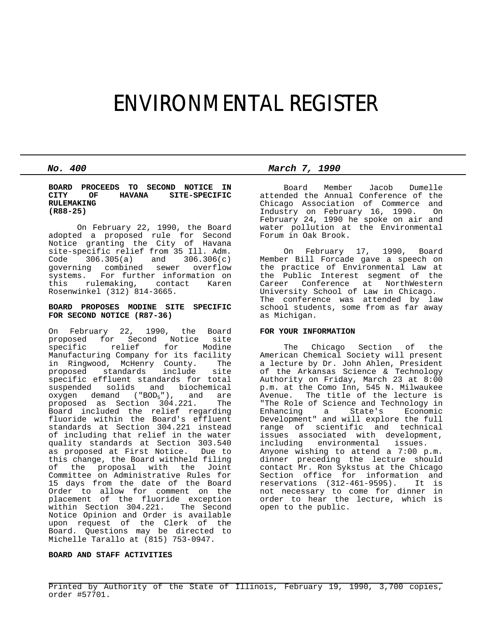# ENVIRONMENTAL REGISTER

**BOARD PROCEEDS TO SECOND NOTICE IN CITY OF HAVANA SITE-SPECIFIC RULEMAKING (R88-25)**

On February 22, 1990, the Board adopted a proposed rule for Second Notice granting the City of Havana site-specific relief from 35 Ill. Adm. Code 306.305(a) and 306.306(c) governing combined sewer overflow systems. For further information on this rulemaking, contact Karen Rosenwinkel (312) 814-3665.

#### **BOARD PROPOSES MODINE SITE SPECIFIC FOR SECOND NOTICE (R87-36)**

On February 22, 1990, the Board proposed for Second Notice site relief Manufacturing Company for its facility in Ringwood, McHenry County. The proposed standards include site specific effluent standards for total suspended solids and biochemical oxygen demand  $("BOD<sub>5</sub>")$ , and are<br>proposed as Section 304.221. The proposed as Section 304.221. Board included the relief regarding fluoride within the Board's effluent standards at Section 304.221 instead of including that relief in the water quality standards at Section 303.540 as proposed at First Notice. Due to this change, the Board withheld filing of the proposal with the Joint Committee on Administrative Rules for 15 days from the date of the Board Order to allow for comment on the placement of the fluoride exception within Section 304.221. The Second Notice Opinion and Order is available upon request of the Clerk of the Board. Questions may be directed to Michelle Tarallo at (815) 753-0947.

# **BOARD AND STAFF ACTIVITIES**

*No. 400 March 7, 1990*

 Board Member Jacob Dumelle attended the Annual Conference of the Chicago Association of Commerce and Industry on February 16, 1990. On February 24, 1990 he spoke on air and water pollution at the Environmental Forum in Oak Brook.

 On February 17, 1990, Board Member Bill Forcade gave a speech on the practice of Environmental Law at the Public Interest segment of the Career Conference at NorthWestern University School of Law in Chicago. The conference was attended by law school students, some from as far away as Michigan.

# **FOR YOUR INFORMATION**

 The Chicago Section of the American Chemical Society will present a lecture by Dr. John Ahlen, President of the Arkansas Science & Technology Authority on Friday, March 23 at 8:00 p.m. at the Como Inn, 545 N. Milwaukee Avenue. The title of the lecture is "The Role of Science and Technology in Enhancing a State's Economic Development" and will explore the full range of scientific and technical issues associated with development, including environmental issues. Anyone wishing to attend a 7:00 p.m. dinner preceding the lecture should contact Mr. Ron Sykstus at the Chicago Section office for information and<br>reservations (312-461-9595). It is reservations  $(312-461-9595)$ . not necessary to come for dinner in order to hear the lecture, which is open to the public.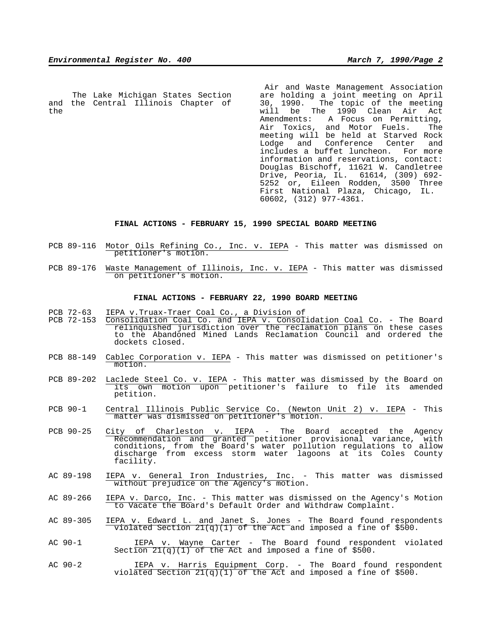The Lake Michigan States Section and the Central Illinois Chapter of the

 Air and Waste Management Association are holding a joint meeting on April 30, 1990. The topic of the meeting will be The 1990 Clean Air Act Amendments: A Focus on Permitting, Air Toxics, and Motor Fuels. The meeting will be held at Starved Rock Lodge and Conference Center and includes a buffet luncheon. For more information and reservations, contact: Douglas Bischoff, 11621 W. Candletree Drive, Peoria, IL. 61614, (309) 692- 5252 or, Eileen Rodden, 3500 Three First National Plaza, Chicago, IL. 60602, (312) 977-4361.

### **FINAL ACTIONS - FEBRUARY 15, 1990 SPECIAL BOARD MEETING**

- PCB 89-116 Motor Oils Refining Co., Inc. v. IEPA This matter was dismissed on petitioner's motion.
- PCB 89-176 Waste Management of Illinois, Inc. v. IEPA This matter was dismissed on petitioner's motion.

#### **FINAL ACTIONS - FEBRUARY 22, 1990 BOARD MEETING**

- PCB 72-63 IEPA v.Truax-Traer Coal Co., a Division of
- PCB 72-153 Consolidation Coal Co. and IEPA v. Consolidation Coal Co. The Board relinquished jurisdiction over the reclamation plans on these cases to the Abandoned Mined Lands Reclamation Council and ordered the dockets closed.
- PCB 88-149 Cablec Corporation v. IEPA This matter was dismissed on petitioner's motion.
- PCB 89-202 Laclede Steel Co. v. IEPA This matter was dismissed by the Board on its own motion upon petitioner's failure to file its amended petition.
- PCB 90-1 Central Illinois Public Service Co. (Newton Unit 2) v. IEPA This matter was dismissed on petitioner's motion.
- PCB 90-25 City of Charleston v. IEPA The Board accepted the Agency Recommendation and granted petitioner provisional variance, with conditions, from the Board's water pollution regulations to allow discharge from excess storm water lagoons at its Coles County facility.
- AC 89-198 IEPA v. General Iron Industries, Inc. This matter was dismissed without prejudice on the Agency's motion.
- AC 89-266 IEPA v. Darco, Inc. This matter was dismissed on the Agency's Motion to Vacate the Board's Default Order and Withdraw Complaint.
- AC 89-305 IEPA v. Edward L. and Janet S. Jones The Board found respondents violated Section  $21(q)(1)$  of the Act and imposed a fine of \$500.
- AC 90-1 IEPA v. Wayne Carter The Board found respondent violated Section  $21(q)(1)$  of the Act and imposed a fine of \$500.
- AC 90-2 IEPA v. Harris Equipment Corp. The Board found respondent violated Section  $21(q)(1)$  of the Act and imposed a fine of \$500.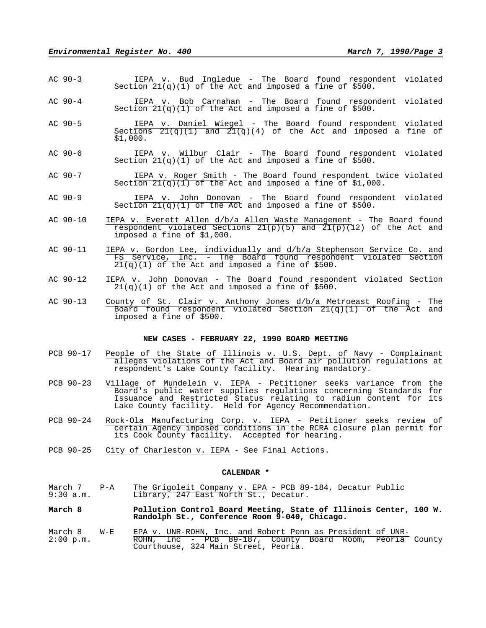- AC 90-3 IEPA v. Bud Ingledue The Board found respondent violated Section  $21(q)(1)$  of the Act and imposed a fine of \$500.
- AC 90-4 IEPA v. Bob Carnahan The Board found respondent violated Section  $21(q)(1)$  of the Act and imposed a fine of \$500.
- AC 90-5 IEPA v. Daniel Wiegel The Board found respondent violated Sections  $21(q)(1)$  and  $21(q)(4)$  of the Act and imposed a fine of \$1,000.
- AC 90-6 IEPA v. Wilbur Clair The Board found respondent violated Section  $21(q)(1)$  of the Act and imposed a fine of \$500.
- AC 90-7 IEPA v. Roger Smith The Board found respondent twice violated Section  $21(q)(1)$  of the Act and imposed a fine of \$1,000.
- AC 90-9 IEPA v. John Donovan The Board found respondent violated Section  $21(q)(1)$  of the Act and imposed a fine of \$500.
- AC 90-10 IEPA v. Everett Allen d/b/a Allen Waste Management The Board found respondent violated Sections  $21(p)(5)$  and  $21(p)(12)$  of the Act and imposed a fine of \$1,000.
- AC 90-11 IEPA v. Gordon Lee, individually and d/b/a Stephenson Service Co. and FS Service, Inc. - The Board found respondent violated Section  $21(q)(1)$  of the Act and imposed a fine of \$500.
- AC 90-12 IEPA v. John Donovan The Board found respondent violated Section  $21(q)(1)$  of the Act and imposed a fine of \$500.
- AC 90-13 County of St. Clair v. Anthony Jones d/b/a Metroeast Roofing The Board found respondent violated Section 21(q)(1) of the Act and imposed a fine of \$500.

# **NEW CASES - FEBRUARY 22, 1990 BOARD MEETING**

- PCB 90-17 People of the State of Illinois v. U.S. Dept. of Navy Complainant alleges violations of the Act and Board air pollution regulations at respondent's Lake County facility. Hearing mandatory.
- PCB 90-23 Village of Mundelein v. IEPA Petitioner seeks variance from the Board's public water supplies regulations concerning Standards for Issuance and Restricted Status relating to radium content for its Lake County facility. Held for Agency Recommendation.
- PCB 90-24 Rock-Ola Manufacturing Corp. v. IEPA Petitioner seeks review of certain Agency imposed conditions in the RCRA closure plan permit for its Cook County facility. Accepted for hearing.
- PCB 90-25 City of Charleston v. IEPA See Final Actions.

#### **CALENDAR \***

- March 7 P-A The Grigoleit Company v. EPA PCB 89-184, Decatur Public 9:30 a.m. Library, 247 East North St., Decatur.
- **March 8 Pollution Control Board Meeting, State of Illinois Center, 100 W. Randolph St., Conference Room 9-040, Chicago.**
- March 8 W-E EPA v. UNR-ROHN, Inc. and Robert Penn as President of UNR-2:00 p.m. ROHN, Inc - PCB 89-187, County Board Room, Peoria County Courthouse, 324 Main Street, Peoria.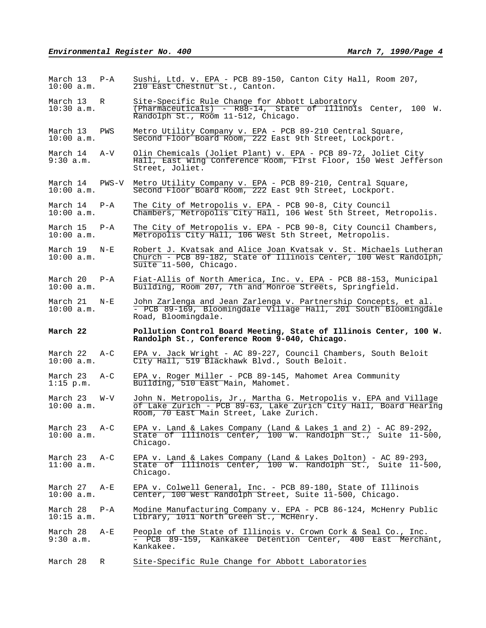| March 13 P-A<br>10:00 a.m.     |         | Sushi, Ltd. v. EPA - PCB 89-150, Canton City Hall, Room 207,<br>210 East Chestnut St., Canton.                                                                                  |  |  |
|--------------------------------|---------|---------------------------------------------------------------------------------------------------------------------------------------------------------------------------------|--|--|
| March 13<br>$10:30$ a.m.       | R       | Site-Specific Rule Change for Abbott Laboratory<br>$(Pharmacuticals) - R88-14$ , State of Illinois Center, 100 W.<br>Randolph St., Room 11-512, Chicago.                        |  |  |
| March 13<br>10:00 a.m.         | PWS     | Metro Utility Company v. EPA - PCB 89-210 Central Square,<br>Second Floor Board Room, 222 East 9th Street, Lockport.                                                            |  |  |
| March 14<br>9:30 a.m.          | A-V     | Olin Chemicals (Joliet Plant) v. EPA - PCB 89-72, Joliet City<br>Hall, East Wing Conference Room, First Floor, 150 West Jefferson<br>Street, Joliet.                            |  |  |
| March 14<br>$10:00$ a.m.       | PWS-V   | Metro Utility Company v. EPA - PCB 89-210, Central Square,<br>Second Floor Board Room, 222 East 9th Street, Lockport.                                                           |  |  |
| March 14<br>10:00 a.m.         | P-A     | The City of Metropolis v. EPA - PCB 90-8, City Council<br>Chambers, Metropolis City Hall, 106 West 5th Street, Metropolis.                                                      |  |  |
| March 15<br>10:00 a.m.         | $P - A$ | The City of Metropolis v. EPA - PCB 90-8, City Council Chambers,<br>Metropolis City Hall, 106 West 5th Street, Metropolis.                                                      |  |  |
| March 19<br>10:00 a.m.         | $N-E$   | Robert J. Kvatsak and Alice Joan Kvatsak v. St. Michaels Lutheran<br>Church - PCB 89-182, State of Illinois Center, 100 West Randolph,<br>Suite 11-500, Chicago.                |  |  |
| March 20<br>10:00 a.m.         | $P - A$ | Fiat-Allis of North America, Inc. v. EPA - PCB 88-153, Municipal<br>Building, Room 207, 7th and Monroe Streets, Springfield.                                                    |  |  |
| March 21<br>10:00 a.m.         | $N-E$   | John Zarlenga and Jean Zarlenga v. Partnership Concepts, et al.<br>- PCB 89-169, Bloomingdale Village Hall, 201 South Bloomingdale<br>Road, Bloomingdale.                       |  |  |
|                                |         |                                                                                                                                                                                 |  |  |
| March 22                       |         | Pollution Control Board Meeting, State of Illinois Center, 100 W.<br>Randolph St., Conference Room 9-040, Chicago.                                                              |  |  |
| March 22<br>10:00 a.m.         | $A-C$   | EPA v. Jack Wright - AC 89-227, Council Chambers, South Beloit<br>City Hall, 519 Blackhawk Blvd., South Beloit.                                                                 |  |  |
| March 23<br>$1:15$ p.m.        | $A-C$   | EPA v. Roger Miller - PCB 89-145, Mahomet Area Community<br>Building, 510 East Main, Mahomet.                                                                                   |  |  |
| March 23<br>10:00 a.m.         | W-V     | John N. Metropolis, Jr., Martha G. Metropolis v. EPA and Village<br>of Lake Zurich - PCB 89-63, Lake Zurich City Hall, Board Hearing<br>Room, 70 East Main Street, Lake Zurich. |  |  |
| March 23 A-C<br>$10:00$ a.m.   |         | EPA v. Land & Lakes Company (Land & Lakes 1 and 2) - AC 89-292,<br>State of Illinois Center, 100 W. Randolph St., Suite 11-500,<br>Chicago.                                     |  |  |
| March $23$ $A-C$<br>11:00 a.m. |         | EPA v. Land & Lakes Company (Land & Lakes Dolton) - AC 89-293,<br>State of Illinois Center, 100 W. Randolph St., Suite 11-500,<br>Chicago.                                      |  |  |
| March 27 A-E<br>10:00 a.m.     |         | EPA v. Colwell General, Inc. - PCB 89-180, State of Illinois<br>Center, 100 West Randolph Street, Suite 11-500, Chicago.                                                        |  |  |
| March 28<br>$10:15$ a.m.       | $P - A$ | Modine Manufacturing Company v. EPA - PCB 86-124, McHenry Public<br>Library, 1011 North Green St., McHenry.                                                                     |  |  |
| March 28<br>9:30 a.m.          | A-E     | People of the State of Illinois v. Crown Cork & Seal Co., Inc.<br>- PCB 89-159, Kankakee Detention Center, 400 East Merchant,<br>Kankakee.                                      |  |  |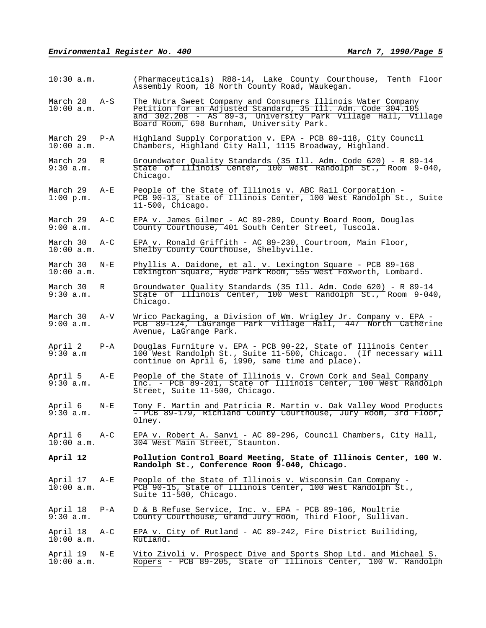| $10:30$ a.m.               |         | (Pharmaceuticals) R88-14, Lake County Courthouse, Tenth Floor<br>Assembly Room, 18 North County Road, Waukegan.                                                                                                                           |  |  |  |
|----------------------------|---------|-------------------------------------------------------------------------------------------------------------------------------------------------------------------------------------------------------------------------------------------|--|--|--|
| March 28 A-S<br>10:00 a.m. |         | The Nutra Sweet Company and Consumers Illinois Water Company<br>Petition for an Adjusted Standard, 35 Ill. Adm. Code 304.105<br>and 302.208 - AS 89-3, University Park Village Hall, Village<br>Board Room, 698 Burnham, University Park. |  |  |  |
| March 29 P-A<br>10:00 a.m. |         | Highland Supply Corporation v. EPA - PCB 89-118, City Council Chambers, Highland City Hall, 1115 Broadway, Highland.                                                                                                                      |  |  |  |
| March 29<br>9:30 a.m.      | R       | Groundwater Quality Standards (35 Ill. Adm. Code 620) - R 89-14<br>State of Illinois Center, 100 West Randolph St., Room 9-040,<br>Chicago.                                                                                               |  |  |  |
| March 29<br>$1:00$ p.m.    | $A-E$   | People of the State of Illinois v. ABC Rail Corporation -<br>PCB 90-13, State of Illinois Center, 100 West Randolph St., Suite<br>$11-500$ , Chicago.                                                                                     |  |  |  |
| March 29<br>9:00 a.m.      | $A-C$   | EPA v. James Gilmer - AC 89-289, County Board Room, Douglas<br>County Courthouse, 401 South Center Street, Tuscola.                                                                                                                       |  |  |  |
| March 30<br>10:00 a.m.     | $A-C$   | EPA v. Ronald Griffith - AC 89-230, Courtroom, Main Floor,<br>Shelby County Courthouse, Shelbyville.                                                                                                                                      |  |  |  |
| March 30<br>10:00 a.m.     | $N - E$ | Phyllis A. Daidone, et al. v. Lexington Square - PCB 89-168<br>Lexington Square, Hyde Park Room, 555 West Foxworth, Lombard.                                                                                                              |  |  |  |
| March 30<br>9:30 a.m.      | R       | Groundwater Quality Standards (35 Ill. Adm. Code 620) - R 89-14<br>State of Illinois Center, 100 West Randolph St., Room 9-040,<br>Chicago.                                                                                               |  |  |  |
| March 30<br>9:00 a.m.      | $A-V$   | Wrico Packaging, a Division of Wm. Wrigley Jr. Company v. EPA -<br>PCB 89-124, LaGrange Park Village Hall, 447 North Catherine<br>Avenue, LaGrange Park.                                                                                  |  |  |  |
| April 2<br>9:30 a.m        | $P - A$ | Douglas Furniture v. EPA - PCB 90-22, State of Illinois Center<br>100 West Randolph St., Suite 11-500, Chicago. (If necessary will<br>continue on April 6, 1990, same time and place).                                                    |  |  |  |
| April 5<br>9:30 a.m.       | $A - E$ | People of the State of Illinois v. Crown Cork and Seal Company<br>Inc. - PCB 89-201, State of Illinois Center, 100 West Randolph<br>Street, Suite 11-500, Chicago.                                                                        |  |  |  |
| April 6<br>9:30 a.m.       | $N - E$ | Tony F. Martin and Patricia R. Martin v. Oak Valley Wood Products<br>- PCB 89-179, Richland County Courthouse, Jury Room, 3rd Floor,<br>Olney.                                                                                            |  |  |  |
| April 6<br>10:00 a.m.      | A-C     | EPA v. Robert A. Sanvi - AC 89-296, Council Chambers, City Hall,<br>304 West Main Street, Staunton.                                                                                                                                       |  |  |  |
| April 12                   |         | Pollution Control Board Meeting, State of Illinois Center, 100 W.<br>Randolph St., Conference Room 9-040, Chicago.                                                                                                                        |  |  |  |
| April 17<br>10:00 a.m.     | A-E     | People of the State of Illinois v. Wisconsin Can Company -<br>PCB 90-15, State of Illinois Center, 100 West Randolph St.,<br>Suite 11-500, Chicago.                                                                                       |  |  |  |
| April 18<br>9:30 a.m.      | P-A     | D & B Refuse Service, Inc. v. EPA - PCB 89-106, Moultrie<br>County Courthouse, Grand Jury Room, Third Floor, Sullivan.                                                                                                                    |  |  |  |
| April 18<br>10:00 a.m.     | A-C     | EPA v. City of Rutland - AC 89-242, Fire District Builiding,<br>Rutland.                                                                                                                                                                  |  |  |  |
| April 19<br>$10:00$ a.m.   | $N - E$ | Vito Zivoli v. Prospect Dive and Sports Shop Ltd. and Michael S.<br>Ropers - PCB 89-205, State of Illinois Center, 100 W. Randolph                                                                                                        |  |  |  |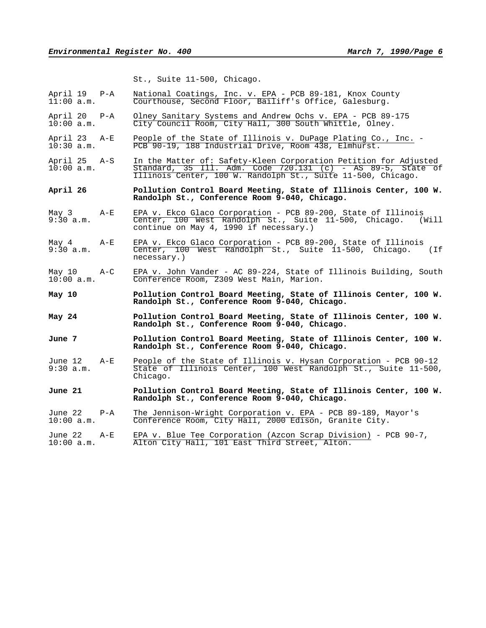St., Suite 11-500, Chicago.

| April 19 P-A<br>11:00 a.m. |         | National Coatings, Inc. v. EPA - PCB 89-181, Knox County<br>Courthouse, Second Floor, Bailiff's Office, Galesburg.                                                                                |  |  |  |
|----------------------------|---------|---------------------------------------------------------------------------------------------------------------------------------------------------------------------------------------------------|--|--|--|
| April 20<br>10:00 a.m.     | P-A     | Olney Sanitary Systems and Andrew Ochs v. EPA - PCB 89-175<br>City Council Room, City Hall, 300 South Whittle, Olney.                                                                             |  |  |  |
| April 23<br>$10:30$ a.m.   | A-E     | People of the State of Illinois v. DuPage Plating Co., Inc. -<br>PCB 90-19, 188 Industrial Drive, Room 438, Elmhurst.                                                                             |  |  |  |
| April 25<br>$10:00$ a.m.   | A-S     | In the Matter of: Safety-Kleen Corporation Petition for Adjusted<br>Standard, 35 Ill. Adm. Code $720.131$ (c) - AS 89-5, State of<br>Illinois Center, 100 W. Randolph St., Suite 11-500, Chicago. |  |  |  |
| April 26                   |         | Pollution Control Board Meeting, State of Illinois Center, 100 W.<br>Randolph St., Conference Room 9-040, Chicago.                                                                                |  |  |  |
| May 3<br>9:30 a.m.         | A-E     | EPA v. Ekco Glaco Corporation - PCB 89-200, State of Illinois<br>Center, 100 West Randolph St., Suite 11-500, Chicago.<br>(Will<br>continue on May 4, 1990 if necessary.)                         |  |  |  |
| May 4<br>$9:30$ a.m.       | $A-E$   | EPA v. Ekco Glaco Corporation - PCB 89-200, State of Illinois<br>Center, 100 West Randolph St., Suite 11-500, Chicago. (If<br>necessary.)                                                         |  |  |  |
| May 10                     | $A-C$   | EPA v. John Vander - AC 89-224, State of Illinois Building, South                                                                                                                                 |  |  |  |
| 10:00 a.m.                 |         | Conference Room, 2309 West Main, Marion.                                                                                                                                                          |  |  |  |
| May 10                     |         | Pollution Control Board Meeting, State of Illinois Center, 100 W.<br>Randolph St., Conference Room 9-040, Chicago.                                                                                |  |  |  |
| May 24                     |         | Pollution Control Board Meeting, State of Illinois Center, 100 W.<br>Randolph St., Conference Room 9-040, Chicago.                                                                                |  |  |  |
| June 7                     |         | Pollution Control Board Meeting, State of Illinois Center, 100 W.<br>Randolph St., Conference Room 9-040, Chicago.                                                                                |  |  |  |
| June 12<br>9:30 a.m.       | A-E     | People of the State of Illinois v. Hysan Corporation - PCB 90-12<br>State of Illinois Center, 100 West Randolph St., Suite 11-500,<br>Chicago.                                                    |  |  |  |
| June 21                    |         | Pollution Control Board Meeting, State of Illinois Center, 100 W.<br>Randolph St., Conference Room 9-040, Chicago.                                                                                |  |  |  |
| June 22<br>10:00 a.m.      | $P - A$ | The Jennison-Wright Corporation v. EPA - PCB 89-189, Mayor's<br>Conference Room, City Hall, 2000 Edison, Granite City.                                                                            |  |  |  |
| June 22<br>$10:00$ a.m.    | $A-E$   | EPA v. Blue Tee Corporation (Azcon Scrap Division) - PCB $90-7$ ,<br>Alton City Hall, 101 East Third Street, Alton.                                                                               |  |  |  |